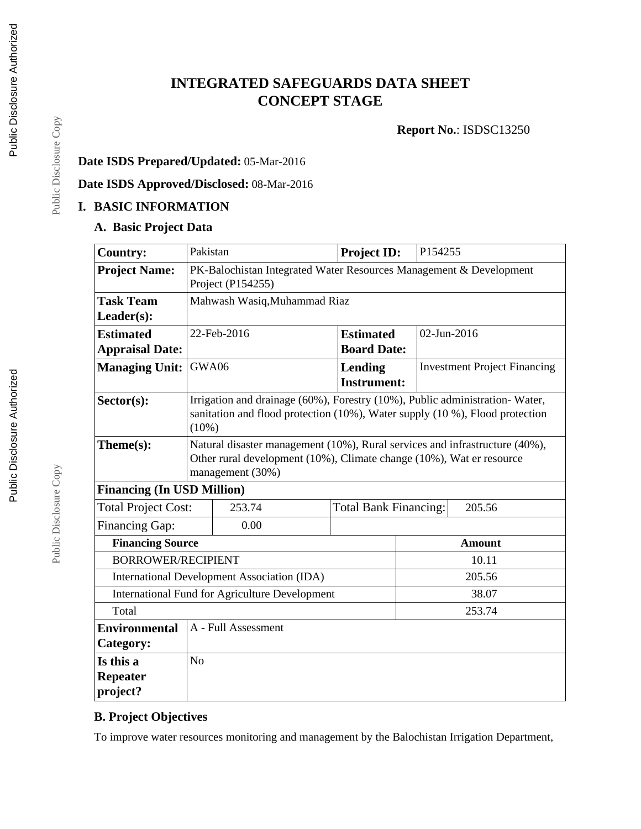# **INTEGRATED SAFEGUARDS DATA SHEET CONCEPT STAGE**

**Report No.**: ISDSC13250

## **Date ISDS Prepared/Updated:** 05-Mar-2016

**Date ISDS Approved/Disclosed:** 08-Mar-2016

### **I. BASIC INFORMATION**

### **A. Basic Project Data**

| <b>Country:</b>                                              | Pakistan                                                                                                                                                                |                                                                                                                                                                         | <b>Project ID:</b>                   |                                        | P154255 |                                     |  |
|--------------------------------------------------------------|-------------------------------------------------------------------------------------------------------------------------------------------------------------------------|-------------------------------------------------------------------------------------------------------------------------------------------------------------------------|--------------------------------------|----------------------------------------|---------|-------------------------------------|--|
| <b>Project Name:</b>                                         | PK-Balochistan Integrated Water Resources Management & Development<br>Project (P154255)                                                                                 |                                                                                                                                                                         |                                      |                                        |         |                                     |  |
| <b>Task Team</b>                                             | Mahwash Wasiq, Muhammad Riaz                                                                                                                                            |                                                                                                                                                                         |                                      |                                        |         |                                     |  |
| Leader(s):                                                   |                                                                                                                                                                         |                                                                                                                                                                         |                                      |                                        |         |                                     |  |
| <b>Estimated</b>                                             |                                                                                                                                                                         | 22-Feb-2016                                                                                                                                                             |                                      | <b>Estimated</b>                       |         | 02-Jun-2016                         |  |
| <b>Appraisal Date:</b>                                       | <b>Board Date:</b>                                                                                                                                                      |                                                                                                                                                                         |                                      |                                        |         |                                     |  |
| <b>Managing Unit:</b>                                        | GWA06                                                                                                                                                                   |                                                                                                                                                                         | <b>Lending</b><br><b>Instrument:</b> |                                        |         | <b>Investment Project Financing</b> |  |
| Sector(s):                                                   |                                                                                                                                                                         | Irrigation and drainage (60%), Forestry (10%), Public administration-Water,<br>sanitation and flood protection (10%), Water supply (10 %), Flood protection<br>$(10\%)$ |                                      |                                        |         |                                     |  |
| Theme(s):                                                    | Natural disaster management (10%), Rural services and infrastructure (40%),<br>Other rural development (10%), Climate change (10%), Wat er resource<br>management (30%) |                                                                                                                                                                         |                                      |                                        |         |                                     |  |
| <b>Financing (In USD Million)</b>                            |                                                                                                                                                                         |                                                                                                                                                                         |                                      |                                        |         |                                     |  |
| <b>Total Project Cost:</b>                                   |                                                                                                                                                                         | 253.74                                                                                                                                                                  |                                      | <b>Total Bank Financing:</b><br>205.56 |         |                                     |  |
| <b>Financing Gap:</b>                                        |                                                                                                                                                                         | 0.00                                                                                                                                                                    |                                      |                                        |         |                                     |  |
| <b>Financing Source</b>                                      |                                                                                                                                                                         |                                                                                                                                                                         |                                      | <b>Amount</b>                          |         |                                     |  |
| <b>BORROWER/RECIPIENT</b>                                    |                                                                                                                                                                         |                                                                                                                                                                         |                                      |                                        | 10.11   |                                     |  |
| <b>International Development Association (IDA)</b><br>205.56 |                                                                                                                                                                         |                                                                                                                                                                         |                                      |                                        |         |                                     |  |
| International Fund for Agriculture Development<br>38.07      |                                                                                                                                                                         |                                                                                                                                                                         |                                      |                                        |         |                                     |  |
| Total                                                        |                                                                                                                                                                         |                                                                                                                                                                         |                                      |                                        | 253.74  |                                     |  |
| <b>Environmental</b><br>Category:                            |                                                                                                                                                                         | A - Full Assessment                                                                                                                                                     |                                      |                                        |         |                                     |  |
| Is this a<br><b>Repeater</b>                                 | N <sub>o</sub>                                                                                                                                                          |                                                                                                                                                                         |                                      |                                        |         |                                     |  |
| project?                                                     |                                                                                                                                                                         |                                                                                                                                                                         |                                      |                                        |         |                                     |  |

## **B. Project Objectives**

To improve water resources monitoring and management by the Balochistan Irrigation Department,

Public Disclosure Copy

Public Disclosure Copy

Public Disclosure Copy

Public Disclosure Copy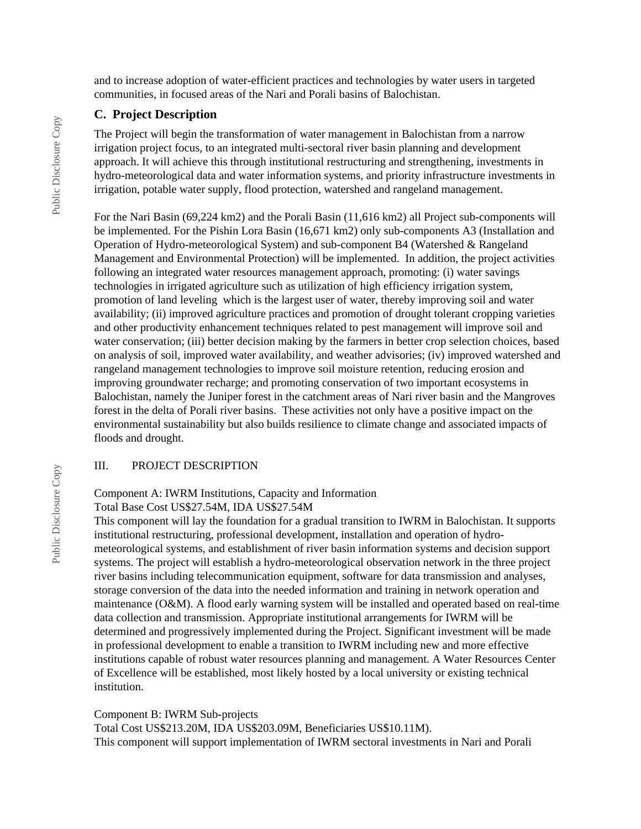and to increase adoption of water-efficient practices and technologies by water users in targeted communities, in focused areas of the Nari and Porali basins of Balochistan.

#### **C. Project Description**

The Project will begin the transformation of water management in Balochistan from a narrow irrigation project focus, to an integrated multi-sectoral river basin planning and development approach. It will achieve this through institutional restructuring and strengthening, investments in hydro-meteorological data and water information systems, and priority infrastructure investments in irrigation, potable water supply, flood protection, watershed and rangeland management.

For the Nari Basin (69,224 km2) and the Porali Basin (11,616 km2) all Project sub-components will be implemented. For the Pishin Lora Basin (16,671 km2) only sub-components A3 (Installation and Operation of Hydro-meteorological System) and sub-component B4 (Watershed & Rangeland Management and Environmental Protection) will be implemented. In addition, the project activities following an integrated water resources management approach, promoting: (i) water savings technologies in irrigated agriculture such as utilization of high efficiency irrigation system, promotion of land leveling which is the largest user of water, thereby improving soil and water availability; (ii) improved agriculture practices and promotion of drought tolerant cropping varieties and other productivity enhancement techniques related to pest management will improve soil and water conservation; (iii) better decision making by the farmers in better crop selection choices, based on analysis of soil, improved water availability, and weather advisories; (iv) improved watershed and rangeland management technologies to improve soil moisture retention, reducing erosion and improving groundwater recharge; and promoting conservation of two important ecosystems in Balochistan, namely the Juniper forest in the catchment areas of Nari river basin and the Mangroves forest in the delta of Porali river basins. These activities not only have a positive impact on the environmental sustainability but also builds resilience to climate change and associated impacts of floods and drought.

#### III. PROJECT DESCRIPTION

#### Component A: IWRM Institutions, Capacity and Information

Total Base Cost US\$27.54M, IDA US\$27.54M

This component will lay the foundation for a gradual transition to IWRM in Balochistan. It supports institutional restructuring, professional development, installation and operation of hydrometeorological systems, and establishment of river basin information systems and decision support systems. The project will establish a hydro-meteorological observation network in the three project river basins including telecommunication equipment, software for data transmission and analyses, storage conversion of the data into the needed information and training in network operation and maintenance (O&M). A flood early warning system will be installed and operated based on real-time data collection and transmission. Appropriate institutional arrangements for IWRM will be determined and progressively implemented during the Project. Significant investment will be made in professional development to enable a transition to IWRM including new and more effective institutions capable of robust water resources planning and management. A Water Resources Center of Excellence will be established, most likely hosted by a local university or existing technical institution.

Component B: IWRM Sub-projects

Total Cost US\$213.20M, IDA US\$203.09M, Beneficiaries US\$10.11M). This component will support implementation of IWRM sectoral investments in Nari and Porali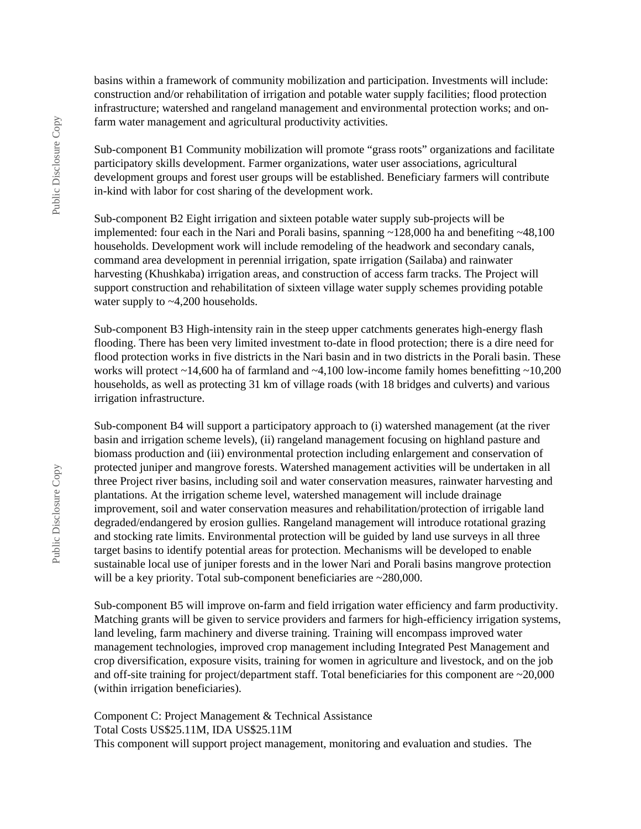basins within a framework of community mobilization and participation. Investments will include: construction and/or rehabilitation of irrigation and potable water supply facilities; flood protection infrastructure; watershed and rangeland management and environmental protection works; and onfarm water management and agricultural productivity activities.

Sub-component B1 Community mobilization will promote "grass roots" organizations and facilitate participatory skills development. Farmer organizations, water user associations, agricultural development groups and forest user groups will be established. Beneficiary farmers will contribute in-kind with labor for cost sharing of the development work.

Sub-component B2 Eight irrigation and sixteen potable water supply sub-projects will be implemented: four each in the Nari and Porali basins, spanning  $\sim$ 128,000 ha and benefiting  $\sim$ 48,100 households. Development work will include remodeling of the headwork and secondary canals, command area development in perennial irrigation, spate irrigation (Sailaba) and rainwater harvesting (Khushkaba) irrigation areas, and construction of access farm tracks. The Project will support construction and rehabilitation of sixteen village water supply schemes providing potable water supply to ~4,200 households.

Sub-component B3 High-intensity rain in the steep upper catchments generates high-energy flash flooding. There has been very limited investment to-date in flood protection; there is a dire need for flood protection works in five districts in the Nari basin and in two districts in the Porali basin. These works will protect  $\sim$  14,600 ha of farmland and  $\sim$  4,100 low-income family homes benefitting  $\sim$  10,200 households, as well as protecting 31 km of village roads (with 18 bridges and culverts) and various irrigation infrastructure.

Sub-component B4 will support a participatory approach to (i) watershed management (at the river basin and irrigation scheme levels), (ii) rangeland management focusing on highland pasture and biomass production and (iii) environmental protection including enlargement and conservation of protected juniper and mangrove forests. Watershed management activities will be undertaken in all three Project river basins, including soil and water conservation measures, rainwater harvesting and plantations. At the irrigation scheme level, watershed management will include drainage improvement, soil and water conservation measures and rehabilitation/protection of irrigable land degraded/endangered by erosion gullies. Rangeland management will introduce rotational grazing and stocking rate limits. Environmental protection will be guided by land use surveys in all three target basins to identify potential areas for protection. Mechanisms will be developed to enable sustainable local use of juniper forests and in the lower Nari and Porali basins mangrove protection will be a key priority. Total sub-component beneficiaries are  $\approx 280,000$ .

Sub-component B5 will improve on-farm and field irrigation water efficiency and farm productivity. Matching grants will be given to service providers and farmers for high-efficiency irrigation systems, land leveling, farm machinery and diverse training. Training will encompass improved water management technologies, improved crop management including Integrated Pest Management and crop diversification, exposure visits, training for women in agriculture and livestock, and on the job and off-site training for project/department staff. Total beneficiaries for this component are ~20,000 (within irrigation beneficiaries).

Component C: Project Management & Technical Assistance Total Costs US\$25.11M, IDA US\$25.11M This component will support project management, monitoring and evaluation and studies. The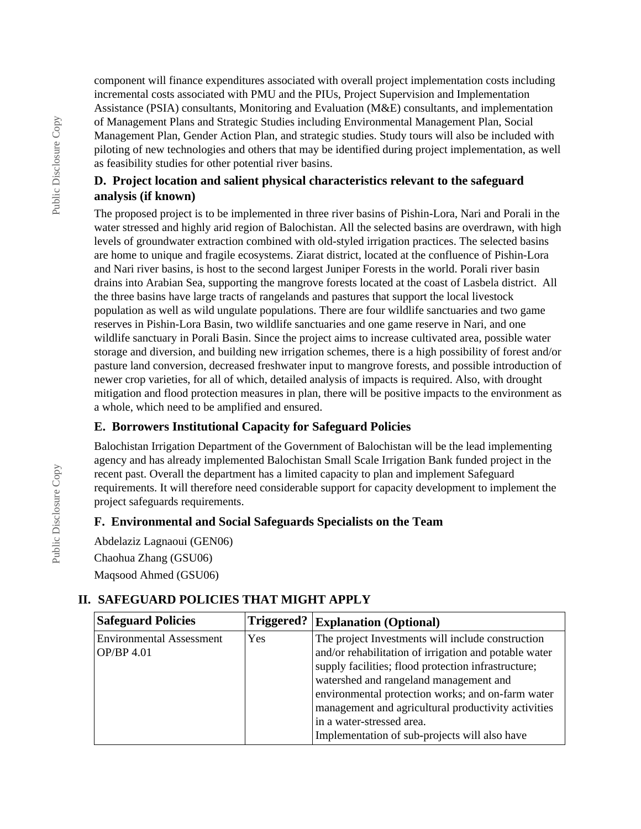component will finance expenditures associated with overall project implementation costs including incremental costs associated with PMU and the PIUs, Project Supervision and Implementation Assistance (PSIA) consultants, Monitoring and Evaluation (M&E) consultants, and implementation of Management Plans and Strategic Studies including Environmental Management Plan, Social Management Plan, Gender Action Plan, and strategic studies. Study tours will also be included with piloting of new technologies and others that may be identified during project implementation, as well as feasibility studies for other potential river basins.

## **D. Project location and salient physical characteristics relevant to the safeguard analysis (if known)**

The proposed project is to be implemented in three river basins of Pishin-Lora, Nari and Porali in the water stressed and highly arid region of Balochistan. All the selected basins are overdrawn, with high levels of groundwater extraction combined with old-styled irrigation practices. The selected basins are home to unique and fragile ecosystems. Ziarat district, located at the confluence of Pishin-Lora and Nari river basins, is host to the second largest Juniper Forests in the world. Porali river basin drains into Arabian Sea, supporting the mangrove forests located at the coast of Lasbela district. All the three basins have large tracts of rangelands and pastures that support the local livestock population as well as wild ungulate populations. There are four wildlife sanctuaries and two game reserves in Pishin-Lora Basin, two wildlife sanctuaries and one game reserve in Nari, and one wildlife sanctuary in Porali Basin. Since the project aims to increase cultivated area, possible water storage and diversion, and building new irrigation schemes, there is a high possibility of forest and/or pasture land conversion, decreased freshwater input to mangrove forests, and possible introduction of newer crop varieties, for all of which, detailed analysis of impacts is required. Also, with drought mitigation and flood protection measures in plan, there will be positive impacts to the environment as a whole, which need to be amplified and ensured.

## **E. Borrowers Institutional Capacity for Safeguard Policies**

Balochistan Irrigation Department of the Government of Balochistan will be the lead implementing agency and has already implemented Balochistan Small Scale Irrigation Bank funded project in the recent past. Overall the department has a limited capacity to plan and implement Safeguard requirements. It will therefore need considerable support for capacity development to implement the project safeguards requirements.

### **F. Environmental and Social Safeguards Specialists on the Team**

Abdelaziz Lagnaoui (GEN06)

Chaohua Zhang (GSU06) Maqsood Ahmed (GSU06)

## **II. SAFEGUARD POLICIES THAT MIGHT APPLY**

| <b>Safeguard Policies</b>       | Triggered? | <b>Explanation (Optional)</b>                         |  |
|---------------------------------|------------|-------------------------------------------------------|--|
| <b>Environmental Assessment</b> | Yes        | The project Investments will include construction     |  |
| OP/BP 4.01                      |            | and/or rehabilitation of irrigation and potable water |  |
|                                 |            | supply facilities; flood protection infrastructure;   |  |
|                                 |            | watershed and rangeland management and                |  |
|                                 |            | environmental protection works; and on-farm water     |  |
|                                 |            | management and agricultural productivity activities   |  |
|                                 |            | in a water-stressed area.                             |  |
|                                 |            | Implementation of sub-projects will also have         |  |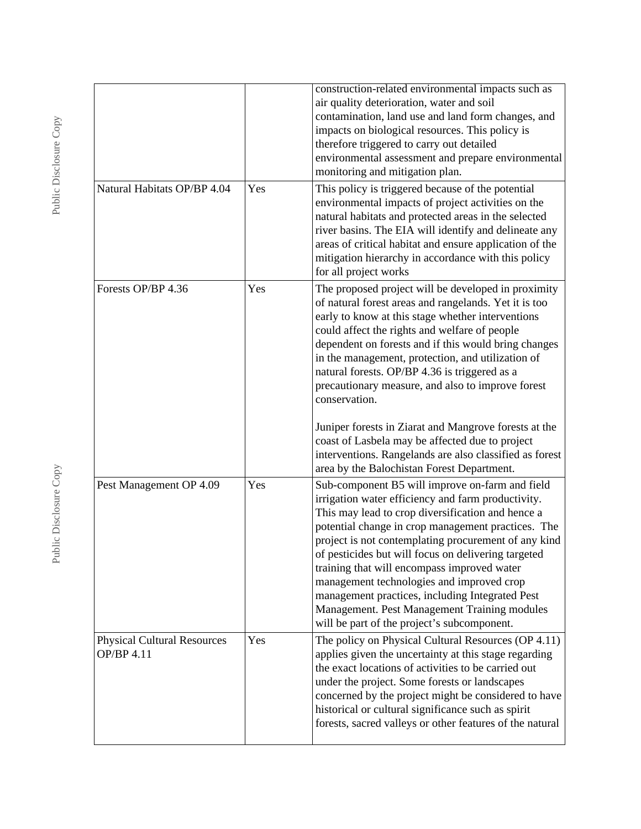|                                                  |     | construction-related environmental impacts such as<br>air quality deterioration, water and soil<br>contamination, land use and land form changes, and<br>impacts on biological resources. This policy is<br>therefore triggered to carry out detailed<br>environmental assessment and prepare environmental<br>monitoring and mitigation plan.                                                                                                                                                                                                                                |
|--------------------------------------------------|-----|-------------------------------------------------------------------------------------------------------------------------------------------------------------------------------------------------------------------------------------------------------------------------------------------------------------------------------------------------------------------------------------------------------------------------------------------------------------------------------------------------------------------------------------------------------------------------------|
| Natural Habitats OP/BP 4.04                      | Yes | This policy is triggered because of the potential<br>environmental impacts of project activities on the<br>natural habitats and protected areas in the selected<br>river basins. The EIA will identify and delineate any<br>areas of critical habitat and ensure application of the<br>mitigation hierarchy in accordance with this policy<br>for all project works                                                                                                                                                                                                           |
| Forests OP/BP 4.36                               | Yes | The proposed project will be developed in proximity<br>of natural forest areas and rangelands. Yet it is too<br>early to know at this stage whether interventions<br>could affect the rights and welfare of people<br>dependent on forests and if this would bring changes<br>in the management, protection, and utilization of<br>natural forests. OP/BP 4.36 is triggered as a<br>precautionary measure, and also to improve forest<br>conservation.                                                                                                                        |
|                                                  |     | Juniper forests in Ziarat and Mangrove forests at the<br>coast of Lasbela may be affected due to project<br>interventions. Rangelands are also classified as forest<br>area by the Balochistan Forest Department.                                                                                                                                                                                                                                                                                                                                                             |
| Pest Management OP 4.09                          | Yes | Sub-component B5 will improve on-farm and field<br>irrigation water efficiency and farm productivity.<br>This may lead to crop diversification and hence a<br>potential change in crop management practices. The<br>project is not contemplating procurement of any kind<br>of pesticides but will focus on delivering targeted<br>training that will encompass improved water<br>management technologies and improved crop<br>management practices, including Integrated Pest<br>Management. Pest Management Training modules<br>will be part of the project's subcomponent. |
| <b>Physical Cultural Resources</b><br>OP/BP 4.11 | Yes | The policy on Physical Cultural Resources (OP 4.11)<br>applies given the uncertainty at this stage regarding<br>the exact locations of activities to be carried out<br>under the project. Some forests or landscapes<br>concerned by the project might be considered to have<br>historical or cultural significance such as spirit<br>forests, sacred valleys or other features of the natural                                                                                                                                                                                |

Public Disclosure Copy Public Disclosure Copy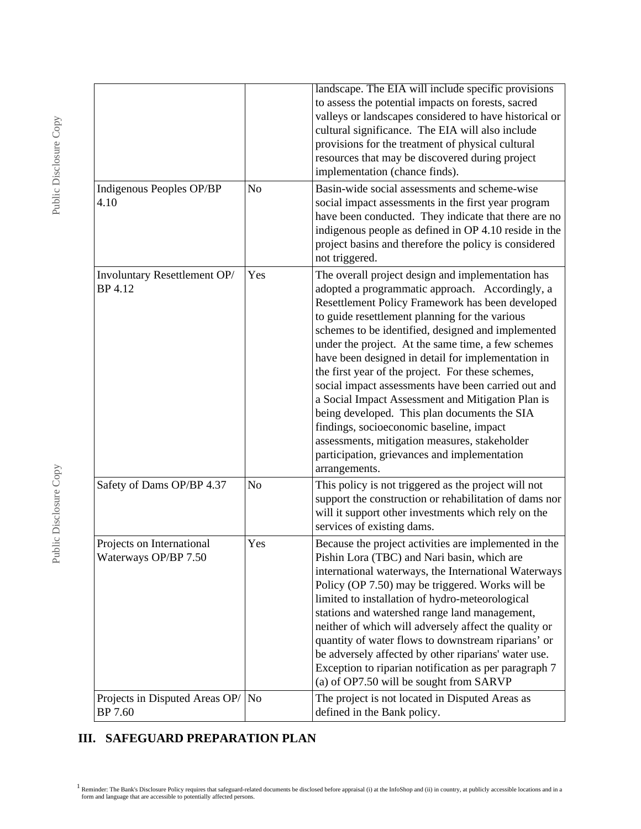|                                                   |                | landscape. The EIA will include specific provisions<br>to assess the potential impacts on forests, sacred<br>valleys or landscapes considered to have historical or<br>cultural significance. The EIA will also include<br>provisions for the treatment of physical cultural<br>resources that may be discovered during project<br>implementation (chance finds).                                                                                                                                                                                                                                                                                                                                                                                           |
|---------------------------------------------------|----------------|-------------------------------------------------------------------------------------------------------------------------------------------------------------------------------------------------------------------------------------------------------------------------------------------------------------------------------------------------------------------------------------------------------------------------------------------------------------------------------------------------------------------------------------------------------------------------------------------------------------------------------------------------------------------------------------------------------------------------------------------------------------|
| Indigenous Peoples OP/BP<br>4.10                  | N <sub>o</sub> | Basin-wide social assessments and scheme-wise<br>social impact assessments in the first year program<br>have been conducted. They indicate that there are no<br>indigenous people as defined in OP 4.10 reside in the<br>project basins and therefore the policy is considered<br>not triggered.                                                                                                                                                                                                                                                                                                                                                                                                                                                            |
| Involuntary Resettlement OP/<br>BP 4.12           | Yes            | The overall project design and implementation has<br>adopted a programmatic approach. Accordingly, a<br>Resettlement Policy Framework has been developed<br>to guide resettlement planning for the various<br>schemes to be identified, designed and implemented<br>under the project. At the same time, a few schemes<br>have been designed in detail for implementation in<br>the first year of the project. For these schemes,<br>social impact assessments have been carried out and<br>a Social Impact Assessment and Mitigation Plan is<br>being developed. This plan documents the SIA<br>findings, socioeconomic baseline, impact<br>assessments, mitigation measures, stakeholder<br>participation, grievances and implementation<br>arrangements. |
| Safety of Dams OP/BP 4.37                         | $\rm No$       | This policy is not triggered as the project will not<br>support the construction or rehabilitation of dams nor<br>will it support other investments which rely on the<br>services of existing dams.                                                                                                                                                                                                                                                                                                                                                                                                                                                                                                                                                         |
| Projects on International<br>Waterways OP/BP 7.50 | Yes            | Because the project activities are implemented in the<br>Pishin Lora (TBC) and Nari basin, which are<br>international waterways, the International Waterways<br>Policy (OP 7.50) may be triggered. Works will be<br>limited to installation of hydro-meteorological<br>stations and watershed range land management,<br>neither of which will adversely affect the quality or<br>quantity of water flows to downstream riparians' or<br>be adversely affected by other riparians' water use.<br>Exception to riparian notification as per paragraph 7<br>(a) of OP7.50 will be sought from SARVP                                                                                                                                                            |
| Projects in Disputed Areas OP/<br>BP 7.60         | No             | The project is not located in Disputed Areas as<br>defined in the Bank policy.                                                                                                                                                                                                                                                                                                                                                                                                                                                                                                                                                                                                                                                                              |

# **III. SAFEGUARD PREPARATION PLAN**

<sup>&</sup>lt;sup>1</sup> Reminder: The Bank's Disclosure Policy requires that safeguard-related documents be disclosed before appraisal (i) at the InfoShop and (ii) in country, at publicly accessible locations and in a form and language that a